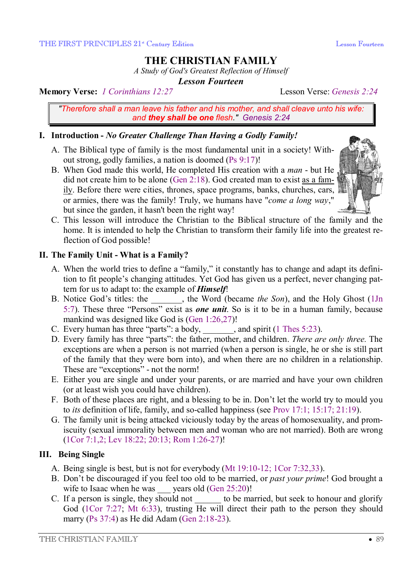# **THE CHRISTIAN FAMILY**

*A Study of God's Greatest Reflection of Himself* 

*Lesson Fourteen* 

**Memory Verse:** *1 Corinthians 12:27* Lesson Verse: *Genesis 2:24*

*"Therefore shall a man leave his father and his mother, and shall cleave unto his wife: and they shall be one flesh." Genesis 2:24*

### **I. Introduction -** *No Greater Challenge Than Having a Godly Family!*

- A. The Biblical type of family is the most fundamental unit in a society! Without strong, godly families, a nation is doomed (Ps 9:17)!
- B. When God made this world, He completed His creation with a *man* but He did not create him to be alone (Gen 2:18). God created man to exist as a family. Before there were cities, thrones, space programs, banks, churches, cars, or armies, there was the family! Truly, we humans have "*come a long way*," but since the garden, it hasn't been the right way!



C. This lesson will introduce the Christian to the Biblical structure of the family and the home. It is intended to help the Christian to transform their family life into the greatest reflection of God possible!

### **II. The Family Unit - What is a Family?**

- A. When the world tries to define a "family," it constantly has to change and adapt its definition to fit people's changing attitudes. Yet God has given us a perfect, never changing pattern for us to adapt to: the example of *Himself*!
- B. Notice God's titles: the \_\_\_\_\_\_\_, the Word (became *the Son*), and the Holy Ghost (1Jn 5:7). These three "Persons" exist as *one unit*. So is it to be in a human family, because mankind was designed like God is (Gen 1:26,27)!
- C. Every human has three "parts": a body,  $\qquad \qquad$ , and spirit (1 Thes 5:23).
- D. Every family has three "parts": the father, mother, and children. *There are only three.* The exceptions are when a person is not married (when a person is single, he or she is still part of the family that they were born into), and when there are no children in a relationship. These are "exceptions" - not the norm!
- E. Either you are single and under your parents, or are married and have your own children (or at least wish you could have children).
- F. Both of these places are right, and a blessing to be in. Don't let the world try to mould you to *its* definition of life, family, and so-called happiness (see Prov 17:1; 15:17; 21:19).
- G. The family unit is being attacked viciously today by the areas of homosexuality, and promiscuity (sexual immorality between men and woman who are not married). Both are wrong (1Cor 7:1,2; Lev 18:22; 20:13; Rom 1:26-27)!

## **III. Being Single**

- A. Being single is best, but is not for everybody (Mt 19:10-12; 1Cor 7:32,33).
- B. Don't be discouraged if you feel too old to be married, or *past your prime*! God brought a wife to Isaac when he was  $\qquad$  years old (Gen 25:20)!
- C. If a person is single, they should not to be married, but seek to honour and glorify God (1Cor 7:27; Mt 6:33), trusting He will direct their path to the person they should marry (Ps 37:4) as He did Adam (Gen 2:18-23).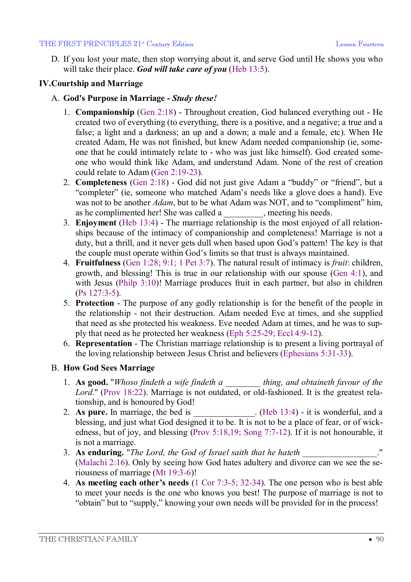#### THE FIRST PRINCIPLES 21<sup>\*</sup> Century Edition **Lesson Fourteen** Lesson Fourteen

D. If you lost your mate, then stop worrying about it, and serve God until He shows you who will take their place. *God will take care of you* (Heb 13:5).

### **IV.Courtship and Marriage**

- A. **God's Purpose in Marriage** *Study these!*
	- 1. **Companionship** (Gen 2:18) Throughout creation, God balanced everything out He created two of everything (to everything, there is a positive, and a negative; a true and a false; a light and a darkness; an up and a down; a male and a female, etc). When He created Adam, He was not finished, but knew Adam needed companionship (ie, someone that he could intimately relate to - who was just like himself). God created someone who would think like Adam, and understand Adam. None of the rest of creation could relate to Adam (Gen 2:19-23).
	- 2. **Completeness** (Gen 2:18) God did not just give Adam a "buddy" or "friend", but a "completer" (ie, someone who matched Adam's needs like a glove does a hand). Eve was not to be another *Adam*, but to be what Adam was NOT, and to "compliment" him, as he complimented her! She was called a \_\_\_\_\_\_\_\_, meeting his needs.
	- 3. **Enjoyment** (Heb 13:4) The marriage relationship is the most enjoyed of all relationships because of the intimacy of companionship and completeness! Marriage is not a duty, but a thrill, and it never gets dull when based upon God's pattern! The key is that the couple must operate within God's limits so that trust is always maintained.
	- 4. **Fruitfulness** (Gen 1:28; 9:1; 1 Pet 3:7). The natural result of intimacy is *fruit*: children, growth, and blessing! This is true in our relationship with our spouse (Gen 4:1), and with Jesus (Philp 3:10)! Marriage produces fruit in each partner, but also in children (Ps 127:3-5).
	- 5. **Protection** The purpose of any godly relationship is for the benefit of the people in the relationship - not their destruction. Adam needed Eve at times, and she supplied that need as she protected his weakness. Eve needed Adam at times, and he was to supply that need as he protected her weakness (Eph 5:25-29; Eccl 4:9-12).
	- 6. **Representation** The Christian marriage relationship is to present a living portrayal of the loving relationship between Jesus Christ and believers (Ephesians 5:31-33).

### B. **How God Sees Marriage**

- 1. **As good.** "*Whoso findeth a wife findeth a \_\_\_\_\_\_\_\_ thing, and obtaineth favour of the Lord.*" (Prov 18:22). Marriage is not outdated, or old-fashioned. It is the greatest relationship, and is honoured by God!
- 2. As pure. In marriage, the bed is  $(Heb 13:4)$  it is wonderful, and a blessing, and just what God designed it to be. It is not to be a place of fear, or of wickedness, but of joy, and blessing (Prov 5:18,19; Song 7:7-12). If it is not honourable, it is not a marriage.
- 3. **As enduring.** "*The Lord, the God of Israel saith that he hateth* \_\_\_\_\_\_\_\_\_\_\_\_\_\_\_\_\_." (Malachi 2:16). Only by seeing how God hates adultery and divorce can we see the seriousness of marriage (Mt 19:3-6)!
- 4. **As meeting each other's needs** (1 Cor 7:3-5; 32-34). The one person who is best able to meet your needs is the one who knows you best! The purpose of marriage is not to "obtain" but to "supply," knowing your own needs will be provided for in the process!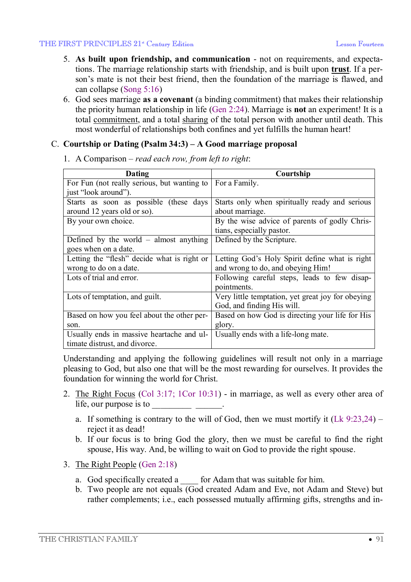#### THE FIRST PRINCIPLES 21<sup>\*</sup> Century Edition **Lesson Fourteen** Lesson Fourteen

- 5. **As built upon friendship, and communication** not on requirements, and expectations. The marriage relationship starts with friendship, and is built upon **trust**. If a person's mate is not their best friend, then the foundation of the marriage is flawed, and can collapse (Song 5:16)
- 6. God sees marriage **as a covenant** (a binding commitment) that makes their relationship the priority human relationship in life (Gen 2:24). Marriage is **not** an experiment! It is a total commitment, and a total sharing of the total person with another until death. This most wonderful of relationships both confines and yet fulfills the human heart!

#### C. **Courtship or Dating (Psalm 34:3) – A Good marriage proposal**

| Dating                                      | Courtship                                         |
|---------------------------------------------|---------------------------------------------------|
| For Fun (not really serious, but wanting to | For a Family.                                     |
| just "look around").                        |                                                   |
| Starts as soon as possible (these days      | Starts only when spiritually ready and serious    |
| around 12 years old or so).                 | about marriage.                                   |
| By your own choice.                         | By the wise advice of parents of godly Chris-     |
|                                             | tians, especially pastor.                         |
| Defined by the world $-$ almost anything    | Defined by the Scripture.                         |
| goes when on a date.                        |                                                   |
| Letting the "flesh" decide what is right or | Letting God's Holy Spirit define what is right    |
| wrong to do on a date.                      | and wrong to do, and obeying Him!                 |
| Lots of trial and error.                    | Following careful steps, leads to few disap-      |
|                                             | pointments.                                       |
| Lots of temptation, and guilt.              | Very little temptation, yet great joy for obeying |
|                                             | God, and finding His will.                        |
| Based on how you feel about the other per-  | Based on how God is directing your life for His   |
| son.                                        | glory.                                            |
| Usually ends in massive heartache and ul-   | Usually ends with a life-long mate.               |
| timate distrust, and divorce.               |                                                   |

1. A Comparison – *read each row, from left to right*:

Understanding and applying the following guidelines will result not only in a marriage pleasing to God, but also one that will be the most rewarding for ourselves. It provides the foundation for winning the world for Christ.

- 2. The Right Focus (Col 3:17; 1Cor 10:31) in marriage, as well as every other area of life, our purpose is to \_\_\_\_\_\_\_\_\_ \_\_\_\_\_\_.
	- a. If something is contrary to the will of God, then we must mortify it  $(Lk 9:23,24)$  reject it as dead!
	- b. If our focus is to bring God the glory, then we must be careful to find the right spouse, His way. And, be willing to wait on God to provide the right spouse.
- 3. The Right People (Gen 2:18)
	- a. God specifically created a \_\_\_\_ for Adam that was suitable for him.
	- b. Two people are not equals (God created Adam and Eve, not Adam and Steve) but rather complements; i.e., each possessed mutually affirming gifts, strengths and in-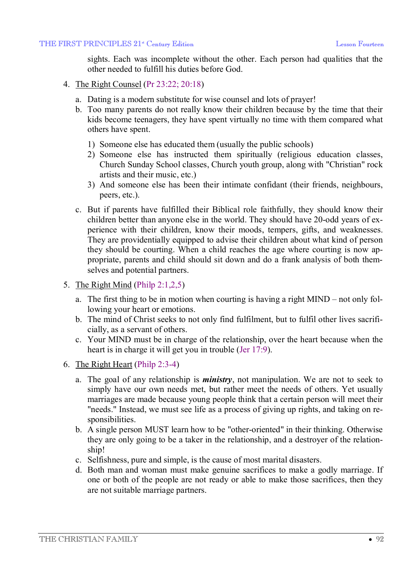sights. Each was incomplete without the other. Each person had qualities that the other needed to fulfill his duties before God.

- 4. The Right Counsel (Pr 23:22; 20:18)
	- a. Dating is a modern substitute for wise counsel and lots of prayer!
	- b. Too many parents do not really know their children because by the time that their kids become teenagers, they have spent virtually no time with them compared what others have spent.
		- 1) Someone else has educated them (usually the public schools)
		- 2) Someone else has instructed them spiritually (religious education classes, Church Sunday School classes, Church youth group, along with "Christian" rock artists and their music, etc.)
		- 3) And someone else has been their intimate confidant (their friends, neighbours, peers, etc.).
	- c. But if parents have fulfilled their Biblical role faithfully, they should know their children better than anyone else in the world. They should have 20-odd years of experience with their children, know their moods, tempers, gifts, and weaknesses. They are providentially equipped to advise their children about what kind of person they should be courting. When a child reaches the age where courting is now appropriate, parents and child should sit down and do a frank analysis of both themselves and potential partners.
- 5. The Right Mind (Philp 2:1,2,5)
	- a. The first thing to be in motion when courting is having a right MIND not only following your heart or emotions.
	- b. The mind of Christ seeks to not only find fulfilment, but to fulfil other lives sacrificially, as a servant of others.
	- c. Your MIND must be in charge of the relationship, over the heart because when the heart is in charge it will get you in trouble (Jer 17:9).
- 6. The Right Heart (Philp 2:3-4)
	- a. The goal of any relationship is *ministry*, not manipulation. We are not to seek to simply have our own needs met, but rather meet the needs of others. Yet usually marriages are made because young people think that a certain person will meet their "needs." Instead, we must see life as a process of giving up rights, and taking on responsibilities.
	- b. A single person MUST learn how to be "other-oriented" in their thinking. Otherwise they are only going to be a taker in the relationship, and a destroyer of the relationship!
	- c. Selfishness, pure and simple, is the cause of most marital disasters.
	- d. Both man and woman must make genuine sacrifices to make a godly marriage. If one or both of the people are not ready or able to make those sacrifices, then they are not suitable marriage partners.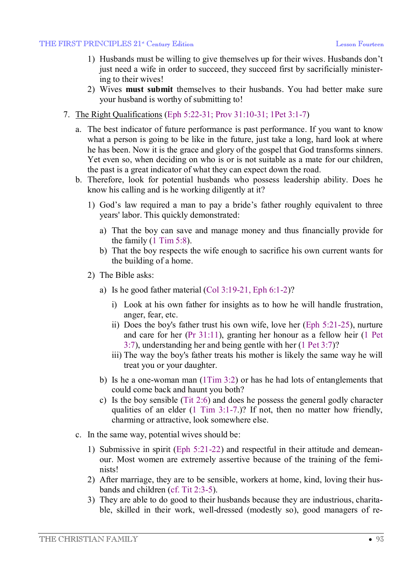- 1) Husbands must be willing to give themselves up for their wives. Husbands don't just need a wife in order to succeed, they succeed first by sacrificially ministering to their wives!
- 2) Wives **must submit** themselves to their husbands. You had better make sure your husband is worthy of submitting to!
- 7. The Right Qualifications (Eph 5:22-31; Prov 31:10-31; 1Pet 3:1-7)
	- a. The best indicator of future performance is past performance. If you want to know what a person is going to be like in the future, just take a long, hard look at where he has been. Now it is the grace and glory of the gospel that God transforms sinners. Yet even so, when deciding on who is or is not suitable as a mate for our children, the past is a great indicator of what they can expect down the road.
	- b. Therefore, look for potential husbands who possess leadership ability. Does he know his calling and is he working diligently at it?
		- 1) God's law required a man to pay a bride's father roughly equivalent to three years' labor. This quickly demonstrated:
			- a) That the boy can save and manage money and thus financially provide for the family  $(1 \text{ Tim } 5:8)$ .
			- b) That the boy respects the wife enough to sacrifice his own current wants for the building of a home.
		- 2) The Bible asks:
			- a) Is he good father material  $(Col 3:19-21, Eph 6:1-2)$ ?
				- i) Look at his own father for insights as to how he will handle frustration, anger, fear, etc.
				- ii) Does the boy's father trust his own wife, love her (Eph 5:21-25), nurture and care for her (Pr 31:11), granting her honour as a fellow heir (1 Pet 3:7), understanding her and being gentle with her (1 Pet 3:7)?
				- iii) The way the boy's father treats his mother is likely the same way he will treat you or your daughter.
			- b) Is he a one-woman man (1Tim 3:2) or has he had lots of entanglements that could come back and haunt you both?
			- c) Is the boy sensible (Tit 2:6) and does he possess the general godly character qualities of an elder (1 Tim 3:1-7.)? If not, then no matter how friendly, charming or attractive, look somewhere else.
	- c. In the same way, potential wives should be:
		- 1) Submissive in spirit (Eph 5:21-22) and respectful in their attitude and demeanour. Most women are extremely assertive because of the training of the feminists!
		- 2) After marriage, they are to be sensible, workers at home, kind, loving their husbands and children (cf. Tit 2:3-5).
		- 3) They are able to do good to their husbands because they are industrious, charitable, skilled in their work, well-dressed (modestly so), good managers of re-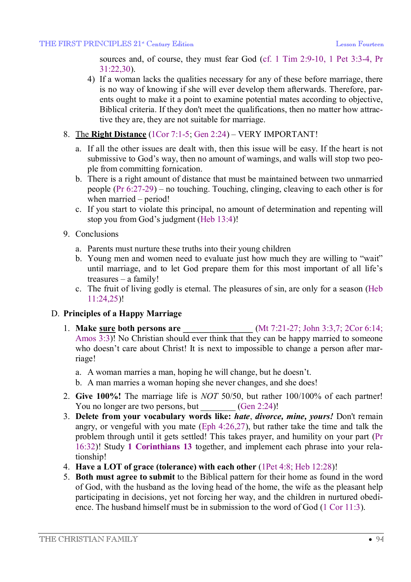sources and, of course, they must fear God (cf. 1 Tim 2:9-10, 1 Pet 3:3-4, Pr 31:22,30).

- 4) If a woman lacks the qualities necessary for any of these before marriage, there is no way of knowing if she will ever develop them afterwards. Therefore, parents ought to make it a point to examine potential mates according to objective, Biblical criteria. If they don't meet the qualifications, then no matter how attractive they are, they are not suitable for marriage.
- 8. The **Right Distance** (1Cor 7:1-5; Gen 2:24) VERY IMPORTANT!
	- a. If all the other issues are dealt with, then this issue will be easy. If the heart is not submissive to God's way, then no amount of warnings, and walls will stop two people from committing fornication.
	- b. There is a right amount of distance that must be maintained between two unmarried people (Pr 6:27-29) – no touching. Touching, clinging, cleaving to each other is for when married – period!
	- c. If you start to violate this principal, no amount of determination and repenting will stop you from God's judgment (Heb 13:4)!
- 9. Conclusions
	- a. Parents must nurture these truths into their young children
	- b. Young men and women need to evaluate just how much they are willing to "wait" until marriage, and to let God prepare them for this most important of all life's treasures – a family!
	- c. The fruit of living godly is eternal. The pleasures of sin, are only for a season (Heb 11:24,25)!

### D. **Principles of a Happy Marriage**

- 1. **Make sure both persons are \_\_\_\_\_\_\_\_\_\_\_\_\_\_\_\_** (Mt 7:21-27; John 3:3,7; 2Cor 6:14; Amos 3:3)! No Christian should ever think that they can be happy married to someone who doesn't care about Christ! It is next to impossible to change a person after marriage!
	- a. A woman marries a man, hoping he will change, but he doesn't.
	- b. A man marries a woman hoping she never changes, and she does!
- 2. **Give 100%!** The marriage life is *NOT* 50/50, but rather 100/100% of each partner! You no longer are two persons, but  $(Gen 2:24)!$
- 3. **Delete from your vocabulary words like:** *hate*, *divorce, mine, yours!* Don't remain angry, or vengeful with you mate (Eph 4:26,27), but rather take the time and talk the problem through until it gets settled! This takes prayer, and humility on your part (Pr 16:32)! Study **1 Corinthians 13** together, and implement each phrase into your relationship!
- 4. **Have a LOT of grace (tolerance) with each other** (1Pet 4:8; Heb 12:28)!
- 5. **Both must agree to submit** to the Biblical pattern for their home as found in the word of God, with the husband as the loving head of the home, the wife as the pleasant help participating in decisions, yet not forcing her way, and the children in nurtured obedience. The husband himself must be in submission to the word of God (1 Cor 11:3).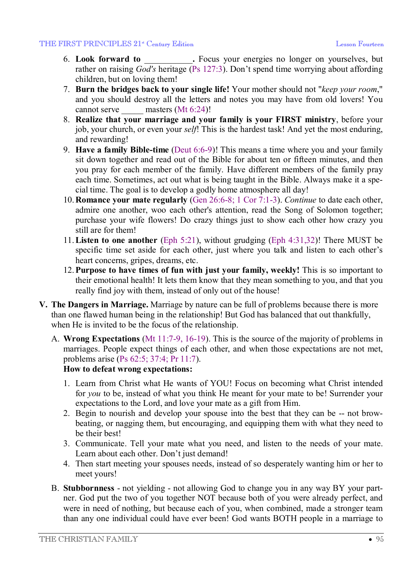- 6. **Look forward to** \_\_\_\_\_\_\_\_\_\_\_**.** Focus your energies no longer on yourselves, but rather on raising *God's* heritage (Ps 127:3). Don't spend time worrying about affording children, but on loving them!
- 7. **Burn the bridges back to your single life!** Your mother should not "*keep your room*," and you should destroy all the letters and notes you may have from old lovers! You cannot serve masters (Mt 6:24)!
- 8. **Realize that your marriage and your family is your FIRST ministry**, before your job, your church, or even your *self*! This is the hardest task! And yet the most enduring, and rewarding!
- 9. **Have a family Bible-time** (Deut 6:6-9)! This means a time where you and your family sit down together and read out of the Bible for about ten or fifteen minutes, and then you pray for each member of the family. Have different members of the family pray each time. Sometimes, act out what is being taught in the Bible. Always make it a special time. The goal is to develop a godly home atmosphere all day!
- 10.**Romance your mate regularly** (Gen 26:6-8; 1 Cor 7:1-3). *Continue* to date each other, admire one another, woo each other's attention, read the Song of Solomon together; purchase your wife flowers! Do crazy things just to show each other how crazy you still are for them!
- 11.**Listen to one another** (Eph 5:21), without grudging (Eph 4:31,32)! There MUST be specific time set aside for each other, just where you talk and listen to each other's heart concerns, gripes, dreams, etc.
- 12.**Purpose to have times of fun with just your family, weekly!** This is so important to their emotional health! It lets them know that they mean something to you, and that you really find joy with them, instead of only out of the house!
- **V. The Dangers in Marriage.** Marriage by nature can be full of problems because there is more than one flawed human being in the relationship! But God has balanced that out thankfully, when He is invited to be the focus of the relationship.
	- A. **Wrong Expectations** (Mt 11:7-9, 16-19). This is the source of the majority of problems in marriages. People expect things of each other, and when those expectations are not met, problems arise (Ps 62:5; 37:4; Pr 11:7).

## **How to defeat wrong expectations:**

- 1. Learn from Christ what He wants of YOU! Focus on becoming what Christ intended for *you* to be, instead of what you think He meant for your mate to be! Surrender your expectations to the Lord, and love your mate as a gift from Him.
- 2. Begin to nourish and develop your spouse into the best that they can be -- not browbeating, or nagging them, but encouraging, and equipping them with what they need to be their best!
- 3. Communicate. Tell your mate what you need, and listen to the needs of your mate. Learn about each other. Don't just demand!
- 4. Then start meeting your spouses needs, instead of so desperately wanting him or her to meet yours!
- B. **Stubbornness** not yielding not allowing God to change you in any way BY your partner. God put the two of you together NOT because both of you were already perfect, and were in need of nothing, but because each of you, when combined, made a stronger team than any one individual could have ever been! God wants BOTH people in a marriage to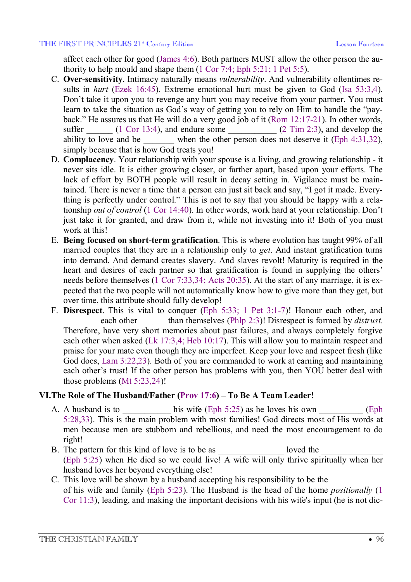affect each other for good (James 4:6). Both partners MUST allow the other person the authority to help mould and shape them (1 Cor 7:4; Eph 5:21; 1 Pet 5:5).

- C. **Over-sensitivity**. Intimacy naturally means *vulnerability*. And vulnerability oftentimes results in *hurt* (Ezek 16:45). Extreme emotional hurt must be given to God (Isa 53:3,4). Don't take it upon you to revenge any hurt you may receive from your partner. You must learn to take the situation as God's way of getting you to rely on Him to handle the "payback." He assures us that He will do a very good job of it (Rom 12:17-21). In other words, suffer  $\frac{1}{2}$  (1 Cor 13:4), and endure some  $\frac{1}{2}$  (2 Tim 2:3), and develop the ability to love and be  $\mu$  when the other person does not deserve it (Eph 4:31,32), simply because that is how God treats you!
- D. **Complacency**. Your relationship with your spouse is a living, and growing relationship it never sits idle. It is either growing closer, or farther apart, based upon your efforts. The lack of effort by BOTH people will result in decay setting in. Vigilance must be maintained. There is never a time that a person can just sit back and say, "I got it made. Everything is perfectly under control." This is not to say that you should be happy with a relationship *out of control* (1 Cor 14:40). In other words, work hard at your relationship. Don't just take it for granted, and draw from it, while not investing into it! Both of you must work at this!
- E. **Being focused on short-term gratification**. This is where evolution has taught 99% of all married couples that they are in a relationship only to *get*. And instant gratification turns into demand. And demand creates slavery. And slaves revolt! Maturity is required in the heart and desires of each partner so that gratification is found in supplying the others' needs before themselves (1 Cor 7:33,34; Acts 20:35). At the start of any marriage, it is expected that the two people will not automatically know how to give more than they get, but over time, this attribute should fully develop!
- F. **Disrespect**. This is vital to conquer (Eph 5:33; 1 Pet 3:1-7)! Honour each other, and each other \_\_\_\_\_\_\_ than themselves (Phlp 2:3)! Disrespect is formed by *distrust*. Therefore, have very short memories about past failures, and always completely forgive each other when asked (Lk 17:3,4; Heb 10:17). This will allow you to maintain respect and praise for your mate even though they are imperfect. Keep your love and respect fresh (like God does, Lam 3:22,23). Both of you are commanded to work at earning and maintaining each other's trust! If the other person has problems with you, then YOU better deal with those problems (Mt 5:23,24)!

#### **VI.The Role of The Husband/Father (Prov 17:6) – To Be A Team Leader!**

- A. A husband is to \_\_\_\_\_\_\_\_\_\_\_\_\_ his wife (Eph 5:25) as he loves his own \_\_\_\_\_\_\_\_\_\_\_ (Eph 5:28,33). This is the main problem with most families! God directs most of His words at men because men are stubborn and rebellious, and need the most encouragement to do right!
- B. The pattern for this kind of love is to be as loved the loved the loved the  $\sim$ (Eph 5:25) when He died so we could live! A wife will only thrive spiritually when her husband loves her beyond everything else!
- C. This love will be shown by a husband accepting his responsibility to be the of his wife and family (Eph 5:23). The Husband is the head of the home *positionally* (1 Cor 11:3), leading, and making the important decisions with his wife's input (he is not dic-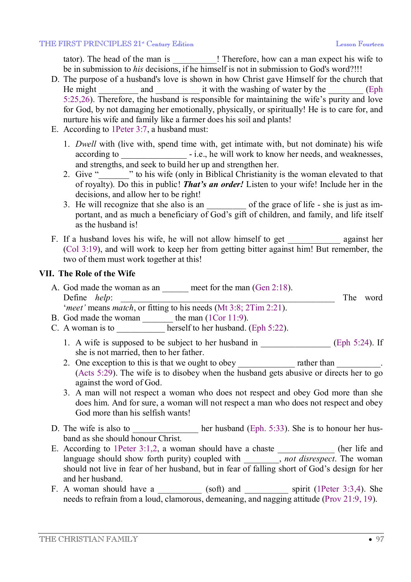tator). The head of the man is <br> <br> <br> ! Therefore, how can a man expect his wife to be in submission to *his* decisions, if he himself is not in submission to God's word?!!!

- D. The purpose of a husband's love is shown in how Christ gave Himself for the church that He might and and it with the washing of water by the  $\qquad$  (Eph 5:25,26). Therefore, the husband is responsible for maintaining the wife's purity and love for God, by not damaging her emotionally, physically, or spiritually! He is to care for, and nurture his wife and family like a farmer does his soil and plants!
- E. According to 1Peter 3:7, a husband must:
	- 1. *Dwell* with (live with, spend time with, get intimate with, but not dominate) his wife according to  $-$  i.e., he will work to know her needs, and weaknesses, and strengths, and seek to build her up and strengthen her.
	- 2. Give " we his wife (only in Biblical Christianity is the woman elevated to that of royalty). Do this in public! *That's an order!* Listen to your wife! Include her in the decisions, and allow her to be right!
	- 3. He will recognize that she also is an \_\_\_\_\_\_\_\_\_\_\_ of the grace of life she is just as important, and as much a beneficiary of God's gift of children, and family, and life itself as the husband is!
- F. If a husband loves his wife, he will not allow himself to get against her (Col 3:19), and will work to keep her from getting bitter against him! But remember, the two of them must work together at this!

#### **VII. The Role of the Wife**

- A. God made the woman as an <u>leave</u> meet for the man (Gen 2:18). Define *help*: The word '*meet'* means *match*, or fitting to his needs (Mt 3:8; 2Tim 2:21).
- B. God made the woman the man (1Cor 11:9).
- C. A woman is to  $\qquad \qquad$  herself to her husband. (Eph 5:22).
	- 1. A wife is supposed to be subject to her husband in \_\_\_\_\_\_\_\_\_\_\_\_\_\_\_\_\_\_\_ (Eph 5:24). If she is not married, then to her father.
	- 2. One exception to this is that we ought to obey \_\_\_\_\_\_\_\_\_\_\_\_\_\_\_\_\_\_\_\_\_\_\_\_\_\_\_\_\_\_. (Acts 5:29). The wife is to disobey when the husband gets abusive or directs her to go against the word of God.
	- 3. A man will not respect a woman who does not respect and obey God more than she does him. And for sure, a woman will not respect a man who does not respect and obey God more than his selfish wants!
- D. The wife is also to  $\qquad$  her husband (Eph. 5:33). She is to honour her husband as she should honour Christ.
- E. According to 1Peter 3:1,2, a woman should have a chaste \_\_\_\_\_\_\_\_\_\_\_ (her life and language should show forth purity) coupled with \_\_\_\_\_\_\_\_, *not disrespect*. The woman should not live in fear of her husband, but in fear of falling short of God's design for her and her husband.
- F. A woman should have a  $\qquad$  (soft) and  $\qquad$  spirit (1Peter 3:3,4). She needs to refrain from a loud, clamorous, demeaning, and nagging attitude (Prov 21:9, 19).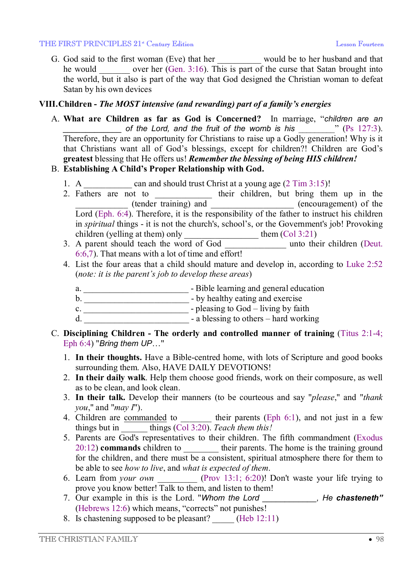#### THE FIRST PRINCIPLES 21<sup>\*</sup> Century Edition **Lesson Fourteen** Lesson Fourteen

G. God said to the first woman (Eve) that her \_\_\_\_\_\_\_\_\_\_ would be to her husband and that he would over her (Gen. 3:16). This is part of the curse that Satan brought into the world, but it also is part of the way that God designed the Christian woman to defeat Satan by his own devices

### **VIII.Children -** *The MOST intensive (and rewarding) part of a family's energies*

A. **What are Children as far as God is Concerned?** In marriage, "*children are an \_\_\_\_\_\_\_\_\_\_\_\_\_ of the Lord, and the fruit of the womb is his* \_\_\_\_\_\_\_\_\_" (Ps 127:3). Therefore, they are an opportunity for Christians to raise up a Godly generation! Why is it that Christians want all of God's blessings, except for children?! Children are God's **greatest** blessing that He offers us! *Remember the blessing of being HIS children!*

### B. **Establishing A Child's Proper Relationship with God.**

- 1. A \_\_\_\_\_\_\_\_\_ can and should trust Christ at a young age (2 Tim 3:15)!
- 2. Fathers are not to their children, but bring them up in the \_\_\_\_\_\_\_\_\_\_\_\_ (tender training) and \_\_\_\_\_\_\_\_\_\_\_\_\_\_\_\_\_\_\_ (encouragement) of the Lord (Eph. 6:4). Therefore, it is the responsibility of the father to instruct his children in *spiritual* things - it is not the church's, school's, or the Government's job! Provoking children (yelling at them) only  $\qquad \qquad$  them  $(Col 3:21)$
- 3. A parent should teach the word of God \_\_\_\_\_\_\_\_\_\_\_\_\_ unto their children (Deut. 6:6,7). That means with a lot of time and effort!
- 4. List the four areas that a child should mature and develop in, according to Luke 2:52 (*note: it is the parent's job to develop these areas*)
	- a. \_\_\_\_\_\_\_\_\_\_\_\_\_\_\_\_\_\_\_\_\_\_\_\_ Bible learning and general education
	- b.  $\qquad \qquad$  by healthy eating and exercise
	- c. <u>\_\_\_\_\_\_\_\_\_\_\_\_\_\_\_\_\_\_\_\_\_\_\_\_\_\_\_\_\_</u> pleasing to God living by faith
	- d. **a** blessing to others hard working
- C. **Disciplining Children - The orderly and controlled manner of training** (Titus 2:1-4; Eph 6:4) "*Bring them UP*…"
	- 1. **In their thoughts.** Have a Bible-centred home, with lots of Scripture and good books surrounding them. Also, HAVE DAILY DEVOTIONS!
	- 2. **In their daily walk**. Help them choose good friends, work on their composure, as well as to be clean, and look clean.
	- 3. **In their talk.** Develop their manners (to be courteous and say "*please*," and "*thank you*," and "*may I*").
	- 4. Children are commanded to  $\qquad$  their parents (Eph 6:1), and not just in a few things but in \_\_\_\_\_\_ things (Col 3:20). *Teach them this!*
	- 5. Parents are God's representatives to their children. The fifth commandment (Exodus 20:12) **commands** children to \_\_\_\_\_\_\_\_ their parents. The home is the training ground for the children, and there must be a consistent, spiritual atmosphere there for them to be able to see *how to live*, and *what is expected of them*.
	- 6. Learn from *your own* \_\_\_\_\_\_\_\_\_ (Prov 13:1; 6:20)! Don't waste your life trying to prove you know better! Talk to them, and listen to them!
	- 7. Our example in this is the Lord. "*Whom the Lord \_\_\_\_\_\_\_\_\_\_\_\_, He chasteneth"* (Hebrews 12:6) which means, "corrects" not punishes!
	- 8. Is chastening supposed to be pleasant?  $(Heb 12:11)$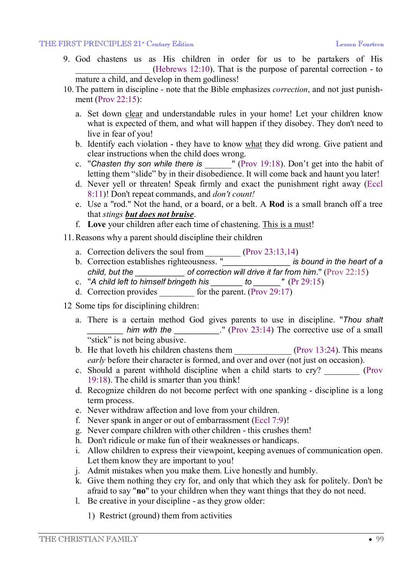- 9. God chastens us as His children in order for us to be partakers of His (Hebrews 12:10). That is the purpose of parental correction - to mature a child, and develop in them godliness!
- 10. The pattern in discipline note that the Bible emphasizes *correction*, and not just punishment (Prov 22:15):
	- a. Set down clear and understandable rules in your home! Let your children know what is expected of them, and what will happen if they disobey. They don't need to live in fear of you!
	- b. Identify each violation they have to know what they did wrong. Give patient and clear instructions when the child does wrong.
	- c. "*Chasten thy son while there is* \_\_\_\_\_\_" (Prov 19:18). Don't get into the habit of letting them "slide" by in their disobedience. It will come back and haunt you later!
	- d. Never yell or threaten! Speak firmly and exact the punishment right away (Eccl 8:11)! Don't repeat commands, and *don't count!*
	- e. Use a "rod." Not the hand, or a board, or a belt. A **Rod** is a small branch off a tree that *stings but does not bruise*.
	- f. **Love** your children after each time of chastening. This is a must!
- 11.Reasons why a parent should discipline their children
	- a. Correction delivers the soul from  $(Prov 23:13,14)$
	- b. Correction establishes righteousness. "*\_\_\_\_\_\_\_\_\_\_\_\_\_\_\_ is bound in the heart of a child, but the \_\_\_\_\_\_\_\_\_\_\_ of correction will drive it far from him*." (Prov 22:15)
	- c. "*A child left to himself bringeth his \_\_\_\_\_\_\_ to \_\_\_\_\_\_"* (Pr 29:15)
	- d. Correction provides  $\overline{\qquad}$  for the parent. (Prov 29:17)
- 12 Some tips for disciplining children:
	- a. There is a certain method God gives parents to use in discipline. "*Thou shalt \_\_\_\_\_\_\_\_ him with the \_\_\_\_\_\_\_\_\_\_.*" (Prov 23:14) The corrective use of a small "stick" is not being abusive.
	- b. He that loveth his children chastens them  $(Prov 13:24)$ . This means *early* before their character is formed, and over and over (not just on occasion).
	- c. Should a parent withhold discipline when a child starts to cry? \_\_\_\_\_\_\_\_\_ (Prov 19:18). The child is smarter than you think!
	- d. Recognize children do not become perfect with one spanking discipline is a long term process.
	- e. Never withdraw affection and love from your children.
	- f. Never spank in anger or out of embarrassment (Eccl 7:9)!
	- g. Never compare children with other children this crushes them!
	- h. Don't ridicule or make fun of their weaknesses or handicaps.
	- i. Allow children to express their viewpoint, keeping avenues of communication open. Let them know they are important to you!
	- j. Admit mistakes when you make them. Live honestly and humbly.
	- k. Give them nothing they cry for, and only that which they ask for politely. Don't be afraid to say "**no**" to your children when they want things that they do not need.
	- l. Be creative in your discipline as they grow older:
		- 1) Restrict (ground) them from activities